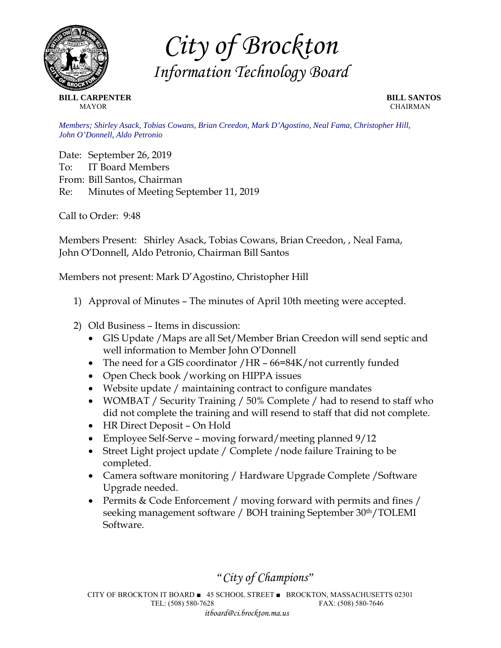

*City of Brockton Information Technology Board* 

**BILL CARPENTER BILL SANTOS MAYOR** CHAIRMAN

*Members; Shirley Asack, Tobias Cowans, Brian Creedon, Mark D'Agostino, Neal Fama, Christopher Hill, John O'Donnell, Aldo Petronio* 

Date: September 26, 2019 To: IT Board Members From: Bill Santos, Chairman Re: Minutes of Meeting September 11, 2019

Call to Order: 9:48

Members Present: Shirley Asack, Tobias Cowans, Brian Creedon, , Neal Fama, John O'Donnell, Aldo Petronio, Chairman Bill Santos

Members not present: Mark D'Agostino, Christopher Hill

- 1) Approval of Minutes The minutes of April 10th meeting were accepted.
- 2) Old Business Items in discussion:
	- GIS Update /Maps are all Set/Member Brian Creedon will send septic and well information to Member John O'Donnell
	- The need for a GIS coordinator /HR 66=84K/not currently funded
	- Open Check book /working on HIPPA issues
	- Website update / maintaining contract to configure mandates
	- WOMBAT / Security Training / 50% Complete / had to resend to staff who did not complete the training and will resend to staff that did not complete.
	- HR Direct Deposit On Hold
	- Employee Self-Serve moving forward/meeting planned  $9/12$
	- Street Light project update / Complete /node failure Training to be completed.
	- Camera software monitoring / Hardware Upgrade Complete / Software Upgrade needed.
	- Permits & Code Enforcement / moving forward with permits and fines / seeking management software / BOH training September 30<sup>th</sup>/TOLEMI Software.

*"City of Champions"* 

CITY OF BROCKTON IT BOARD ■ 45 SCHOOL STREET ■ BROCKTON, MASSACHUSETTS 02301 TEL: (508) 580-7628 FAX: (508) 580-7646